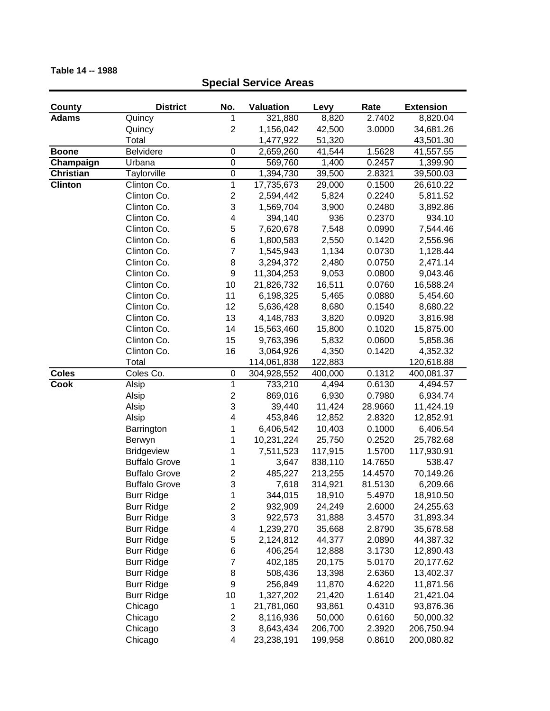## **County District No. Valuation Levy Rate Extension Adams** Quincy 1 321,880 8,820 2.7402 8,820.04 Quincy 2 1,156,042 42,500 3.0000 34,681.26 Total 1,477,922 51,320 43,501.30 **Boone** Belvidere 0 2,659,260 41,544 1.5628 41,557.55 **Champaign** Urbana 0 569,760 1,400 0.2457 1,399.90 **Christian** Taylorville 0 1,394,730 39,500 2.8321 39,500.03 **Clinton** Clinton Co. 1 17,735,673 29,000 0.1500 26,610.22 Clinton Co. 2 2,594,442 5,824 0.2240 5,811.52 Clinton Co. 3 1,569,704 3,900 0.2480 3,892.86 Clinton Co. 4 394,140 936 0.2370 934.10 Clinton Co. 5 7,620,678 7,548 0.0990 7,544.46 Clinton Co. 6 1,800,583 2,550 0.1420 2,556.96 Clinton Co. 7 1,545,943 1,134 0.0730 1,128.44 Clinton Co. 8 3,294,372 2,480 0.0750 2,471.14 Clinton Co. 9 11,304,253 9,053 0.0800 9,043.46 Clinton Co. 10 21,826,732 16,511 0.0760 16,588.24 Clinton Co. 11 6,198,325 5,465 0.0880 5,454.60 Clinton Co. 12 5,636,428 8,680 0.1540 8,680.22 Clinton Co. 13 4,148,783 3,820 0.0920 3,816.98 Clinton Co. 14 15,563,460 15,800 0.1020 15,875.00 Clinton Co. 15 9,763,396 5,832 0.0600 5,858.36 Clinton Co. 16 3,064,926 4,350 0.1420 4,352.32 Total 114,061,838 122,883 120,618.88 **Coles** Coles Co. 0 304,928,552 400,000 0.1312 400,081.37 **Cook** Alsip 1 733,210 4,494 0.6130 4,494.57 Alsip 2 869,016 6,930 0.7980 6,934.74 Alsip 3 39,440 11,424 28.9660 11,424.19 Alsip 4 453,846 12,852 2.8320 12,852.91 Barrington 1 6,406,542 10,403 0.1000 6,406.54 Berwyn 1 10,231,224 25,750 0.2520 25,782.68 Bridgeview 1 7,511,523 117,915 1.5700 117,930.91 Buffalo Grove 1 3,647 838,110 14.7650 538.47 Buffalo Grove 2 485,227 213,255 14.4570 70,149.26 Buffalo Grove 3 7,618 314,921 81.5130 6,209.66 **Special Service Areas**

Burr Ridge 1 344,015 18,910 5.4970 18,910.50 Burr Ridge 2 932,909 24,249 2.6000 24,255.63 Burr Ridge 3 922,573 31,888 3.4570 31,893.34 Burr Ridge 4 1,239,270 35,668 2.8790 35,678.58 Burr Ridge 5 2,124,812 44,377 2.0890 44,387.32 Burr Ridge 6 406,254 12,888 3.1730 12,890.43 Burr Ridge 7 402,185 20,175 5.0170 20,177.62 Burr Ridge 8 508,436 13,398 2.6360 13,402.37 Burr Ridge 9 256,849 11,870 4.6220 11,871.56 Burr Ridge 10 1,327,202 21,420 1.6140 21,421.04 Chicago 1 21,781,060 93,861 0.4310 93,876.36 Chicago 2 8,116,936 50,000 0.6160 50,000.32 Chicago 3 8,643,434 206,700 2.3920 206,750.94 Chicago 4 23,238,191 199,958 0.8610 200,080.82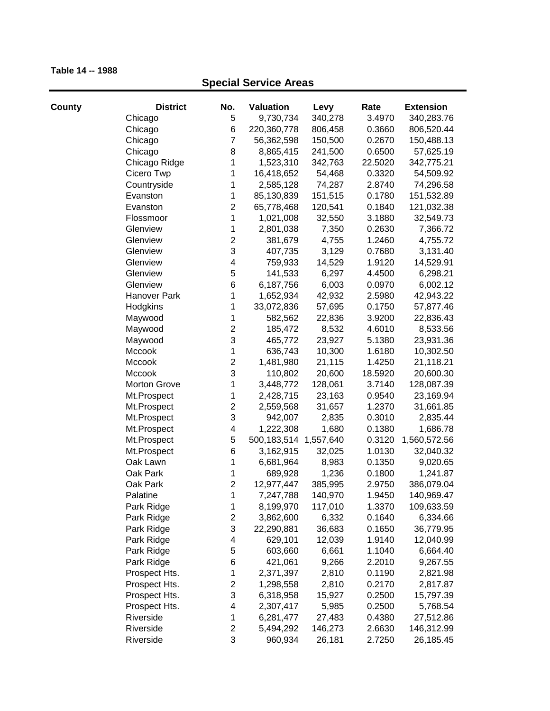| County | <b>District</b>     | No.                     | Valuation                 | Levy    | Rate    | <b>Extension</b> |
|--------|---------------------|-------------------------|---------------------------|---------|---------|------------------|
|        | Chicago             | 5                       | 9,730,734                 | 340,278 | 3.4970  | 340,283.76       |
|        | Chicago             | 6                       | 220,360,778               | 806,458 | 0.3660  | 806,520.44       |
|        | Chicago             | $\overline{7}$          | 56,362,598                | 150,500 | 0.2670  | 150,488.13       |
|        | Chicago             | 8                       | 8,865,415                 | 241,500 | 0.6500  | 57,625.19        |
|        | Chicago Ridge       | 1                       | 1,523,310                 | 342,763 | 22.5020 | 342,775.21       |
|        | Cicero Twp          | 1                       | 16,418,652                | 54,468  | 0.3320  | 54,509.92        |
|        | Countryside         | 1                       | 2,585,128                 | 74,287  | 2.8740  | 74,296.58        |
|        | Evanston            | 1                       | 85,130,839                | 151,515 | 0.1780  | 151,532.89       |
|        | Evanston            | $\overline{2}$          | 65,778,468                | 120,541 | 0.1840  | 121,032.38       |
|        | Flossmoor           | 1                       | 1,021,008                 | 32,550  | 3.1880  | 32,549.73        |
|        | Glenview            | 1                       | 2,801,038                 | 7,350   | 0.2630  | 7,366.72         |
|        | Glenview            | $\overline{c}$          | 381,679                   | 4,755   | 1.2460  | 4,755.72         |
|        | Glenview            | 3                       | 407,735                   | 3,129   | 0.7680  | 3,131.40         |
|        | Glenview            | 4                       | 759,933                   | 14,529  | 1.9120  | 14,529.91        |
|        | Glenview            | 5                       | 141,533                   | 6,297   | 4.4500  | 6,298.21         |
|        | Glenview            | 6                       | 6,187,756                 | 6,003   | 0.0970  | 6,002.12         |
|        | Hanover Park        | 1                       | 1,652,934                 | 42,932  | 2.5980  | 42,943.22        |
|        | Hodgkins            | 1                       | 33,072,836                | 57,695  | 0.1750  | 57,877.46        |
|        | Maywood             | 1                       | 582,562                   | 22,836  | 3.9200  | 22,836.43        |
|        | Maywood             | $\overline{c}$          | 185,472                   | 8,532   | 4.6010  | 8,533.56         |
|        | Maywood             | 3                       | 465,772                   | 23,927  | 5.1380  | 23,931.36        |
|        | Mccook              | 1                       | 636,743                   | 10,300  | 1.6180  | 10,302.50        |
|        | Mccook              | $\overline{c}$          | 1,481,980                 | 21,115  | 1.4250  | 21,118.21        |
|        | Mccook              | 3                       | 110,802                   | 20,600  | 18.5920 | 20,600.30        |
|        | <b>Morton Grove</b> | 1                       | 3,448,772                 | 128,061 | 3.7140  | 128,087.39       |
|        | Mt.Prospect         | 1                       | 2,428,715                 | 23,163  | 0.9540  | 23,169.94        |
|        | Mt.Prospect         | $\overline{c}$          | 2,559,568                 | 31,657  | 1.2370  | 31,661.85        |
|        | Mt.Prospect         | 3                       | 942,007                   | 2,835   | 0.3010  | 2,835.44         |
|        | Mt.Prospect         | $\overline{\mathbf{4}}$ | 1,222,308                 | 1,680   | 0.1380  | 1,686.78         |
|        | Mt.Prospect         | 5                       | 500, 183, 514 1, 557, 640 |         | 0.3120  | 1,560,572.56     |
|        | Mt.Prospect         | 6                       | 3,162,915                 | 32,025  | 1.0130  | 32,040.32        |
|        | Oak Lawn            | 1                       | 6,681,964                 | 8,983   | 0.1350  | 9,020.65         |
|        | Oak Park            | 1                       | 689,928                   | 1,236   | 0.1800  | 1,241.87         |
|        | Oak Park            | $\overline{c}$          | 12,977,447                | 385,995 | 2.9750  | 386,079.04       |
|        | Palatine            | 1                       | 7,247,788                 | 140,970 | 1.9450  | 140,969.47       |
|        | Park Ridge          | 1                       | 8,199,970                 | 117,010 | 1.3370  | 109,633.59       |
|        | Park Ridge          | $\overline{\mathbf{c}}$ | 3,862,600                 | 6,332   | 0.1640  | 6,334.66         |
|        | Park Ridge          | 3                       | 22,290,881                | 36,683  | 0.1650  | 36,779.95        |
|        | Park Ridge          | 4                       | 629,101                   | 12,039  | 1.9140  | 12,040.99        |
|        | Park Ridge          | 5                       | 603,660                   | 6,661   | 1.1040  | 6,664.40         |
|        | Park Ridge          | 6                       | 421,061                   | 9,266   | 2.2010  | 9,267.55         |
|        | Prospect Hts.       | 1                       | 2,371,397                 | 2,810   | 0.1190  | 2,821.98         |
|        | Prospect Hts.       | $\overline{\mathbf{c}}$ | 1,298,558                 | 2,810   | 0.2170  | 2,817.87         |
|        | Prospect Hts.       | 3                       | 6,318,958                 | 15,927  | 0.2500  | 15,797.39        |
|        | Prospect Hts.       | $\overline{\mathbf{4}}$ | 2,307,417                 | 5,985   | 0.2500  | 5,768.54         |
|        | Riverside           | 1                       | 6,281,477                 | 27,483  | 0.4380  | 27,512.86        |
|        | Riverside           | $\overline{c}$          | 5,494,292                 | 146,273 | 2.6630  | 146,312.99       |
|        | Riverside           | 3                       | 960,934                   | 26,181  | 2.7250  | 26,185.45        |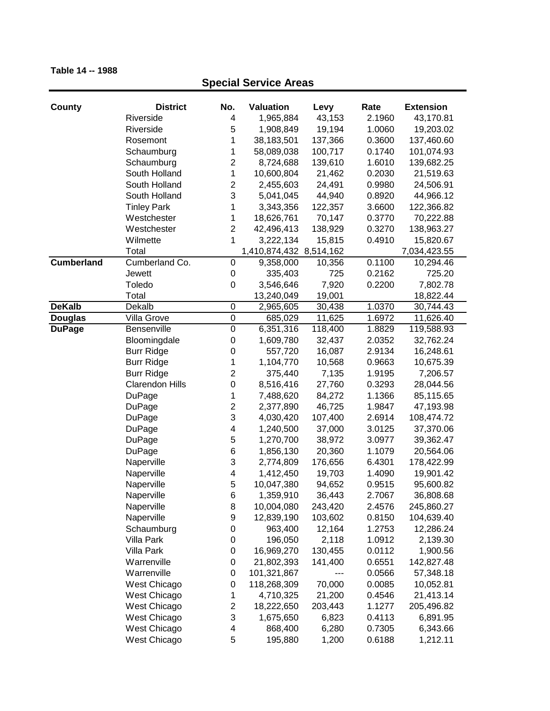| <b>County</b>     | <b>District</b>        | No.                     | <b>Valuation</b>        | Levy    | Rate   | <b>Extension</b> |
|-------------------|------------------------|-------------------------|-------------------------|---------|--------|------------------|
|                   | Riverside              | 4                       | 1,965,884               | 43,153  | 2.1960 | 43,170.81        |
|                   | Riverside              | 5                       | 1,908,849               | 19,194  | 1.0060 | 19,203.02        |
|                   | Rosemont               | 1                       | 38,183,501              | 137,366 | 0.3600 | 137,460.60       |
|                   | Schaumburg             | 1                       | 58,089,038              | 100,717 | 0.1740 | 101,074.93       |
|                   | Schaumburg             | 2                       | 8,724,688               | 139,610 | 1.6010 | 139,682.25       |
|                   | South Holland          | 1                       | 10,600,804              | 21,462  | 0.2030 | 21,519.63        |
|                   | South Holland          | $\overline{\mathbf{c}}$ | 2,455,603               | 24,491  | 0.9980 | 24,506.91        |
|                   | South Holland          | 3                       | 5,041,045               | 44,940  | 0.8920 | 44,966.12        |
|                   | <b>Tinley Park</b>     | 1                       | 3,343,356               | 122,357 | 3.6600 | 122,366.82       |
|                   | Westchester            | 1                       | 18,626,761              | 70,147  | 0.3770 | 70,222.88        |
|                   | Westchester            | $\overline{2}$          | 42,496,413              | 138,929 | 0.3270 | 138,963.27       |
|                   | Wilmette               | 1                       | 3,222,134               | 15,815  | 0.4910 | 15,820.67        |
|                   | Total                  |                         | 1,410,874,432 8,514,162 |         |        | 7,034,423.55     |
| <b>Cumberland</b> | Cumberland Co.         | 0                       | 9,358,000               | 10,356  | 0.1100 | 10,294.46        |
|                   | Jewett                 | 0                       | 335,403                 | 725     | 0.2162 | 725.20           |
|                   | Toledo                 | 0                       | 3,546,646               | 7,920   | 0.2200 | 7,802.78         |
|                   | Total                  |                         | 13,240,049              | 19,001  |        | 18,822.44        |
| <b>DeKalb</b>     | Dekalb                 | $\mathbf 0$             | 2,965,605               | 30,438  | 1.0370 | 30,744.43        |
| <b>Douglas</b>    | Villa Grove            | $\mathbf 0$             | 685,029                 | 11,625  | 1.6972 | 11,626.40        |
| <b>DuPage</b>     | Bensenville            | $\boldsymbol{0}$        | 6,351,316               | 118,400 | 1.8829 | 119,588.93       |
|                   | Bloomingdale           | 0                       | 1,609,780               | 32,437  | 2.0352 | 32,762.24        |
|                   | <b>Burr Ridge</b>      | 0                       | 557,720                 | 16,087  | 2.9134 | 16,248.61        |
|                   | <b>Burr Ridge</b>      | 1                       | 1,104,770               | 10,568  | 0.9663 | 10,675.39        |
|                   | <b>Burr Ridge</b>      | $\overline{\mathbf{c}}$ | 375,440                 | 7,135   | 1.9195 | 7,206.57         |
|                   | <b>Clarendon Hills</b> | $\mathbf 0$             | 8,516,416               | 27,760  | 0.3293 | 28,044.56        |
|                   | DuPage                 | 1                       | 7,488,620               | 84,272  | 1.1366 | 85,115.65        |
|                   | DuPage                 | 2                       | 2,377,890               | 46,725  | 1.9847 | 47,193.98        |
|                   | DuPage                 | 3                       | 4,030,420               | 107,400 | 2.6914 | 108,474.72       |
|                   | DuPage                 | 4                       | 1,240,500               | 37,000  | 3.0125 | 37,370.06        |
|                   | <b>DuPage</b>          | 5                       | 1,270,700               | 38,972  | 3.0977 | 39,362.47        |
|                   | DuPage                 | 6                       | 1,856,130               | 20,360  | 1.1079 | 20,564.06        |
|                   | Naperville             | 3                       | 2,774,809               | 176,656 | 6.4301 | 178,422.99       |
|                   | Naperville             | 4                       | 1,412,450               | 19,703  | 1.4090 | 19,901.42        |
|                   | Naperville             | 5                       | 10,047,380              | 94,652  | 0.9515 | 95,600.82        |
|                   | Naperville             | 6                       | 1,359,910               | 36,443  | 2.7067 | 36,808.68        |
|                   | Naperville             | 8                       | 10,004,080              | 243,420 | 2.4576 | 245,860.27       |
|                   | Naperville             | 9                       | 12,839,190              | 103,602 | 0.8150 | 104,639.40       |
|                   | Schaumburg             | 0                       | 963,400                 | 12,164  | 1.2753 | 12,286.24        |
|                   | Villa Park             | 0                       | 196,050                 | 2,118   | 1.0912 | 2,139.30         |
|                   | <b>Villa Park</b>      | 0                       | 16,969,270              | 130,455 | 0.0112 | 1,900.56         |
|                   | Warrenville            | 0                       | 21,802,393              | 141,400 | 0.6551 | 142,827.48       |
|                   | Warrenville            | 0                       | 101,321,867             | ---     | 0.0566 | 57,348.18        |
|                   | West Chicago           | 0                       | 118,268,309             | 70,000  | 0.0085 | 10,052.81        |
|                   | West Chicago           | 1                       | 4,710,325               | 21,200  | 0.4546 | 21,413.14        |
|                   | West Chicago           | 2                       | 18,222,650              | 203,443 | 1.1277 | 205,496.82       |
|                   | West Chicago           | 3                       | 1,675,650               | 6,823   | 0.4113 | 6,891.95         |
|                   | West Chicago           | 4                       | 868,400                 | 6,280   | 0.7305 | 6,343.66         |
|                   | West Chicago           | 5                       | 195,880                 | 1,200   | 0.6188 | 1,212.11         |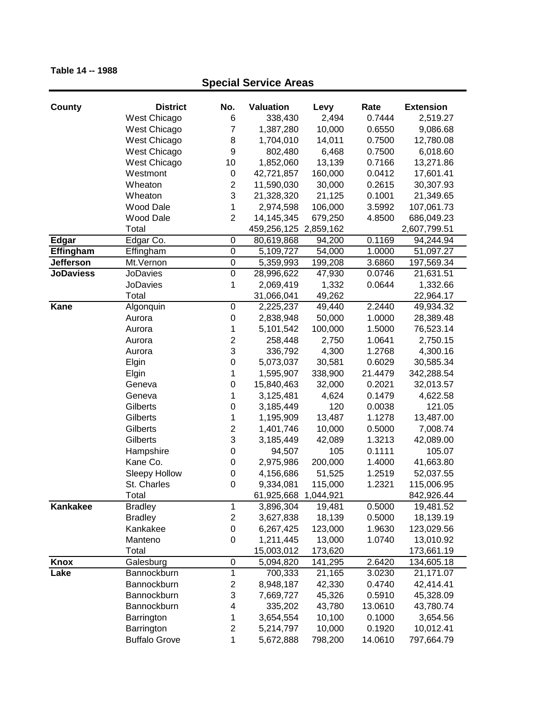| <b>County</b>    | <b>District</b>      | No.                       | <b>Valuation</b>      | Levy    | Rate    | <b>Extension</b> |
|------------------|----------------------|---------------------------|-----------------------|---------|---------|------------------|
|                  | West Chicago         | 6                         | 338,430               | 2,494   | 0.7444  | 2,519.27         |
|                  | West Chicago         | 7                         | 1,387,280             | 10,000  | 0.6550  | 9,086.68         |
|                  | West Chicago         | 8                         | 1,704,010             | 14,011  | 0.7500  | 12,780.08        |
|                  | West Chicago         | 9                         | 802,480               | 6,468   | 0.7500  | 6,018.60         |
|                  | West Chicago         | 10                        | 1,852,060             | 13,139  | 0.7166  | 13,271.86        |
|                  | Westmont             | $\,0\,$                   | 42,721,857            | 160,000 | 0.0412  | 17,601.41        |
|                  | Wheaton              | $\overline{c}$            | 11,590,030            | 30,000  | 0.2615  | 30,307.93        |
|                  | Wheaton              | 3                         | 21,328,320            | 21,125  | 0.1001  | 21,349.65        |
|                  | <b>Wood Dale</b>     | 1                         | 2,974,598             | 106,000 | 3.5992  | 107,061.73       |
|                  | <b>Wood Dale</b>     | $\overline{2}$            | 14,145,345            | 679,250 | 4.8500  | 686,049.23       |
|                  | Total                |                           | 459,256,125 2,859,162 |         |         | 2,607,799.51     |
| Edgar            | Edgar Co.            | $\pmb{0}$                 | 80,619,868            | 94,200  | 0.1169  | 94,244.94        |
| Effingham        | Effingham            | $\pmb{0}$                 | 5,109,727             | 54,000  | 1.0000  | 51,097.27        |
| Jefferson        | Mt.Vernon            | $\pmb{0}$                 | 5,359,993             | 199,208 | 3.6860  | 197,569.34       |
| <b>JoDaviess</b> | <b>JoDavies</b>      | $\overline{0}$            | 28,996,622            | 47,930  | 0.0746  | 21,631.51        |
|                  | <b>JoDavies</b>      | 1                         | 2,069,419             | 1,332   | 0.0644  | 1,332.66         |
|                  | Total                |                           | 31,066,041            | 49,262  |         | 22,964.17        |
| <b>Kane</b>      | Algonquin            | $\pmb{0}$                 | 2,225,237             | 49,440  | 2.2440  | 49,934.32        |
|                  | Aurora               | $\pmb{0}$                 | 2,838,948             | 50,000  | 1.0000  | 28,389.48        |
|                  | Aurora               | 1                         | 5,101,542             | 100,000 | 1.5000  | 76,523.14        |
|                  | Aurora               | $\overline{2}$            | 258,448               | 2,750   | 1.0641  | 2,750.15         |
|                  | Aurora               | 3                         | 336,792               | 4,300   | 1.2768  | 4,300.16         |
|                  | Elgin                | $\mathsf 0$               | 5,073,037             | 30,581  | 0.6029  | 30,585.34        |
|                  | Elgin                | 1                         | 1,595,907             | 338,900 | 21.4479 | 342,288.54       |
|                  | Geneva               | 0                         | 15,840,463            | 32,000  | 0.2021  | 32,013.57        |
|                  | Geneva               | 1                         | 3,125,481             | 4,624   | 0.1479  | 4,622.58         |
|                  | Gilberts             | $\boldsymbol{0}$          | 3,185,449             | 120     | 0.0038  | 121.05           |
|                  | Gilberts             | 1                         | 1,195,909             | 13,487  | 1.1278  | 13,487.00        |
|                  | Gilberts             | $\overline{c}$            | 1,401,746             | 10,000  | 0.5000  | 7,008.74         |
|                  | Gilberts             | 3                         | 3,185,449             | 42,089  | 1.3213  | 42,089.00        |
|                  | Hampshire            | 0                         | 94,507                | 105     | 0.1111  | 105.07           |
|                  | Kane Co.             | 0                         | 2,975,986             | 200,000 | 1.4000  | 41,663.80        |
|                  | <b>Sleepy Hollow</b> | $\boldsymbol{0}$          | 4,156,686             | 51,525  | 1.2519  | 52,037.55        |
|                  | St. Charles          | $\mathbf 0$               | 9,334,081             | 115,000 | 1.2321  | 115,006.95       |
|                  | Total                |                           | 61,925,668 1,044,921  |         |         | 842,926.44       |
| Kankakee         | <b>Bradley</b>       | $\mathbf 1$               | 3,896,304             | 19,481  | 0.5000  | 19,481.52        |
|                  | <b>Bradley</b>       | $\overline{c}$            | 3,627,838             | 18,139  | 0.5000  | 18,139.19        |
|                  | Kankakee             | $\,0\,$                   | 6,267,425             | 123,000 | 1.9630  | 123,029.56       |
|                  | Manteno              | 0                         | 1,211,445             | 13,000  | 1.0740  | 13,010.92        |
|                  | Total                |                           | 15,003,012            | 173,620 |         | 173,661.19       |
| <b>Knox</b>      | Galesburg            | $\,0\,$                   | 5,094,820             | 141,295 | 2.6420  | 134,605.18       |
| Lake             | Bannockburn          | $\mathbf{1}$              | 700,333               | 21,165  | 3.0230  | 21,171.07        |
|                  | Bannockburn          | 2                         | 8,948,187             | 42,330  | 0.4740  | 42,414.41        |
|                  | Bannockburn          | $\ensuremath{\mathsf{3}}$ | 7,669,727             | 45,326  | 0.5910  | 45,328.09        |
|                  | Bannockburn          | 4                         | 335,202               | 43,780  | 13.0610 | 43,780.74        |
|                  | Barrington           | 1                         | 3,654,554             | 10,100  | 0.1000  | 3,654.56         |
|                  | Barrington           | $\overline{c}$            | 5,214,797             | 10,000  | 0.1920  | 10,012.41        |
|                  | <b>Buffalo Grove</b> | 1                         | 5,672,888             | 798,200 | 14.0610 | 797,664.79       |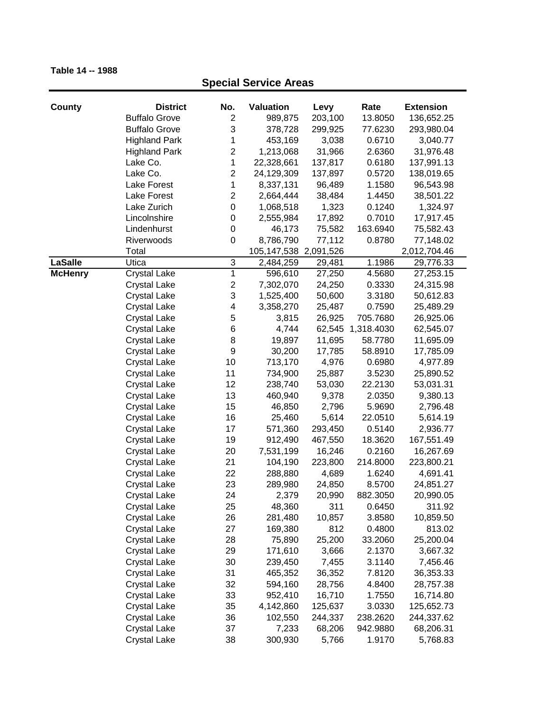# **County District No. Valuation Levy Rate Extension**<br>Buffalo Grove 2 989.875 203.100 13.8050 136.652.25 **Special Service Areas** Buffalo Grove 2 989,875 203,100 13.8050 136,652.25

|                | <b>DUITO OTOVE</b>                         | ۷                       | ສ໐ສ,໐≀ ວ              | ZUJ, IUU | 10.000U    | 150,092.29   |
|----------------|--------------------------------------------|-------------------------|-----------------------|----------|------------|--------------|
|                | <b>Buffalo Grove</b>                       | 3                       | 378,728               | 299,925  | 77.6230    | 293,980.04   |
|                | <b>Highland Park</b>                       | 1                       | 453,169               | 3,038    | 0.6710     | 3,040.77     |
|                | <b>Highland Park</b>                       | $\overline{c}$          | 1,213,068             | 31,966   | 2.6360     | 31,976.48    |
|                | Lake Co.                                   | 1                       | 22,328,661            | 137,817  | 0.6180     | 137,991.13   |
|                | Lake Co.                                   | $\overline{c}$          | 24,129,309            | 137,897  | 0.5720     | 138,019.65   |
|                | Lake Forest                                | 1                       | 8,337,131             | 96,489   | 1.1580     | 96,543.98    |
|                | Lake Forest                                | $\overline{c}$          | 2,664,444             | 38,484   | 1.4450     | 38,501.22    |
|                | Lake Zurich                                | $\pmb{0}$               | 1,068,518             | 1,323    | 0.1240     | 1,324.97     |
|                | Lincolnshire                               | $\boldsymbol{0}$        | 2,555,984             | 17,892   | 0.7010     | 17,917.45    |
|                | Lindenhurst                                | $\boldsymbol{0}$        | 46,173                | 75,582   | 163.6940   | 75,582.43    |
|                | Riverwoods                                 | $\mathbf 0$             | 8,786,790             | 77,112   | 0.8780     | 77,148.02    |
|                | Total                                      |                         | 105,147,538 2,091,526 |          |            | 2,012,704.46 |
| <b>LaSalle</b> | Utica                                      | 3                       | 2,484,259             | 29,481   | 1.1986     | 29,776.33    |
| <b>McHenry</b> | <b>Crystal Lake</b>                        | $\overline{1}$          | 596,610               | 27,250   | 4.5680     | 27,253.15    |
|                | <b>Crystal Lake</b>                        | $\overline{\mathbf{c}}$ | 7,302,070             | 24,250   | 0.3330     | 24,315.98    |
|                | <b>Crystal Lake</b>                        | 3                       | 1,525,400             | 50,600   | 3.3180     | 50,612.83    |
|                | <b>Crystal Lake</b>                        | 4                       | 3,358,270             | 25,487   | 0.7590     | 25,489.29    |
|                | <b>Crystal Lake</b>                        | 5                       | 3,815                 | 26,925   | 705.7680   | 26,925.06    |
|                | <b>Crystal Lake</b>                        | 6                       | 4,744                 | 62,545   | 1,318.4030 | 62,545.07    |
|                | <b>Crystal Lake</b>                        | 8                       | 19,897                | 11,695   | 58.7780    | 11,695.09    |
|                | <b>Crystal Lake</b>                        | $\boldsymbol{9}$        | 30,200                | 17,785   | 58.8910    | 17,785.09    |
|                | <b>Crystal Lake</b>                        | 10                      | 713,170               | 4,976    | 0.6980     | 4,977.89     |
|                | <b>Crystal Lake</b>                        | 11                      | 734,900               | 25,887   | 3.5230     | 25,890.52    |
|                | <b>Crystal Lake</b>                        | 12                      | 238,740               | 53,030   | 22.2130    | 53,031.31    |
|                | <b>Crystal Lake</b>                        | 13                      | 460,940               | 9,378    | 2.0350     | 9,380.13     |
|                | <b>Crystal Lake</b>                        | 15                      | 46,850                | 2,796    | 5.9690     | 2,796.48     |
|                | <b>Crystal Lake</b>                        | 16                      | 25,460                | 5,614    | 22.0510    | 5,614.19     |
|                | <b>Crystal Lake</b>                        | 17                      | 571,360               | 293,450  | 0.5140     | 2,936.77     |
|                | <b>Crystal Lake</b>                        | 19                      | 912,490               | 467,550  | 18.3620    | 167,551.49   |
|                | <b>Crystal Lake</b>                        | 20                      | 7,531,199             | 16,246   | 0.2160     | 16,267.69    |
|                | <b>Crystal Lake</b>                        | 21                      | 104,190               | 223,800  | 214.8000   | 223,800.21   |
|                | <b>Crystal Lake</b>                        | 22                      | 288,880               | 4,689    | 1.6240     | 4,691.41     |
|                |                                            | 23                      | 289,980               | 24,850   | 8.5700     | 24,851.27    |
|                | <b>Crystal Lake</b><br><b>Crystal Lake</b> | 24                      | 2,379                 | 20,990   | 882.3050   | 20,990.05    |
|                | <b>Crystal Lake</b>                        | 25                      | 48,360                | 311      | 0.6450     | 311.92       |
|                |                                            | 26                      |                       |          |            |              |
|                | <b>Crystal Lake</b>                        |                         | 281,480               | 10,857   | 3.8580     | 10,859.50    |
|                | <b>Crystal Lake</b>                        | 27                      | 169,380               | 812      | 0.4800     | 813.02       |
|                | <b>Crystal Lake</b>                        | 28                      | 75,890                | 25,200   | 33.2060    | 25,200.04    |
|                | <b>Crystal Lake</b>                        | 29                      | 171,610               | 3,666    | 2.1370     | 3,667.32     |
|                | <b>Crystal Lake</b>                        | 30                      | 239,450               | 7,455    | 3.1140     | 7,456.46     |
|                | <b>Crystal Lake</b>                        | 31                      | 465,352               | 36,352   | 7.8120     | 36,353.33    |
|                | <b>Crystal Lake</b>                        | 32                      | 594,160               | 28,756   | 4.8400     | 28,757.38    |
|                | <b>Crystal Lake</b>                        | 33                      | 952,410               | 16,710   | 1.7550     | 16,714.80    |
|                | <b>Crystal Lake</b>                        | 35                      | 4,142,860             | 125,637  | 3.0330     | 125,652.73   |
|                | <b>Crystal Lake</b>                        | 36                      | 102,550               | 244,337  | 238.2620   | 244,337.62   |
|                | <b>Crystal Lake</b>                        | 37                      | 7,233                 | 68,206   | 942.9880   | 68,206.31    |
|                | <b>Crystal Lake</b>                        | 38                      | 300,930               | 5,766    | 1.9170     | 5,768.83     |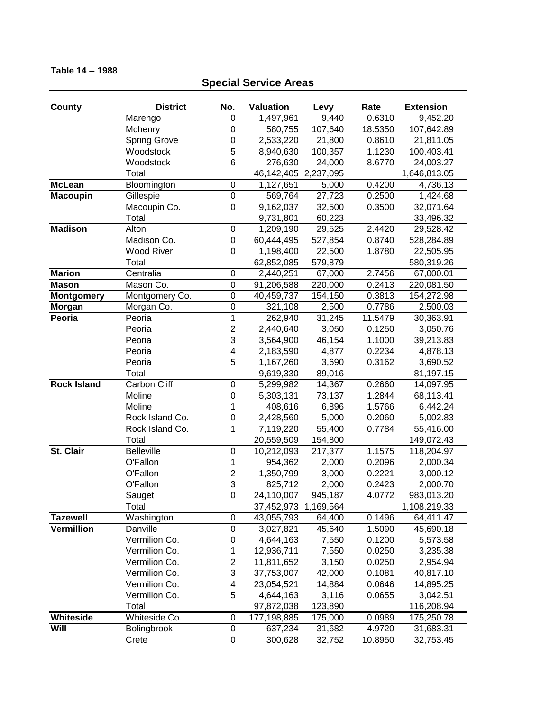| <b>County</b>      | <b>District</b>     | No.              | <b>Valuation</b>         | Levy      | Rate    | <b>Extension</b> |
|--------------------|---------------------|------------------|--------------------------|-----------|---------|------------------|
|                    | Marengo             | 0                | 1,497,961                | 9,440     | 0.6310  | 9,452.20         |
|                    | Mchenry             | 0                | 580,755                  | 107,640   | 18.5350 | 107,642.89       |
|                    | <b>Spring Grove</b> | 0                | 2,533,220                | 21,800    | 0.8610  | 21,811.05        |
|                    | Woodstock           | 5                | 8,940,630                | 100,357   | 1.1230  | 100,403.41       |
|                    | Woodstock           | 6                | 276,630                  | 24,000    | 8.6770  | 24,003.27        |
|                    | Total               |                  | 46, 142, 405 2, 237, 095 |           |         | 1,646,813.05     |
| <b>McLean</b>      | Bloomington         | $\boldsymbol{0}$ | 1,127,651                | 5,000     | 0.4200  | 4,736.13         |
| <b>Macoupin</b>    | Gillespie           | $\mathbf 0$      | 569,764                  | 27,723    | 0.2500  | 1,424.68         |
|                    | Macoupin Co.        | 0                | 9,162,037                | 32,500    | 0.3500  | 32,071.64        |
|                    | Total               |                  | 9,731,801                | 60,223    |         | 33,496.32        |
| <b>Madison</b>     | Alton               | $\mathbf 0$      | 1,209,190                | 29,525    | 2.4420  | 29,528.42        |
|                    | Madison Co.         | $\boldsymbol{0}$ | 60,444,495               | 527,854   | 0.8740  | 528,284.89       |
|                    | <b>Wood River</b>   | 0                | 1,198,400                | 22,500    | 1.8780  | 22,505.95        |
|                    | Total               |                  | 62,852,085               | 579,879   |         | 580,319.26       |
| <b>Marion</b>      | Centralia           | $\mathbf 0$      | 2,440,251                | 67,000    | 2.7456  | 67,000.01        |
| <b>Mason</b>       | Mason Co.           | $\mathbf 0$      | 91,206,588               | 220,000   | 0.2413  | 220,081.50       |
| <b>Montgomery</b>  | Montgomery Co.      | $\overline{0}$   | 40,459,737               | 154, 150  | 0.3813  | 154,272.98       |
| Morgan             | Morgan Co.          | $\mathbf 0$      | 321,108                  | 2,500     | 0.7786  | 2,500.03         |
| Peoria             | Peoria              | 1                | 262,940                  | 31,245    | 11.5479 | 30,363.91        |
|                    | Peoria              | $\overline{c}$   | 2,440,640                | 3,050     | 0.1250  | 3,050.76         |
|                    | Peoria              | 3                | 3,564,900                | 46,154    | 1.1000  | 39,213.83        |
|                    | Peoria              | 4                | 2,183,590                | 4,877     | 0.2234  | 4,878.13         |
|                    | Peoria              | 5                | 1,167,260                | 3,690     | 0.3162  | 3,690.52         |
|                    | Total               |                  | 9,619,330                | 89,016    |         | 81,197.15        |
| <b>Rock Island</b> | <b>Carbon Cliff</b> | $\pmb{0}$        | 5,299,982                | 14,367    | 0.2660  | 14,097.95        |
|                    | Moline              | $\boldsymbol{0}$ | 5,303,131                | 73,137    | 1.2844  | 68,113.41        |
|                    | Moline              | 1                | 408,616                  | 6,896     | 1.5766  | 6,442.24         |
|                    | Rock Island Co.     | $\mathbf 0$      | 2,428,560                | 5,000     | 0.2060  | 5,002.83         |
|                    | Rock Island Co.     | 1                | 7,119,220                | 55,400    | 0.7784  | 55,416.00        |
|                    | Total               |                  | 20,559,509               | 154,800   |         | 149,072.43       |
| St. Clair          | <b>Belleville</b>   | $\boldsymbol{0}$ | 10,212,093               | 217,377   | 1.1575  | 118,204.97       |
|                    | O'Fallon            | 1                | 954,362                  | 2,000     | 0.2096  | 2,000.34         |
|                    | O'Fallon            | $\overline{c}$   | 1,350,799                | 3,000     | 0.2221  | 3,000.12         |
|                    | O'Fallon            | 3                | 825,712                  | 2,000     | 0.2423  | 2,000.70         |
|                    | Sauget              | $\mathsf 0$      | 24,110,007               | 945,187   | 4.0772  | 983,013.20       |
|                    | Total               |                  | 37,452,973               | 1,169,564 |         | 1,108,219.33     |
| <b>Tazewell</b>    | Washington          | 0                | 43,055,793               | 64,400    | 0.1496  | 64,411.47        |
| <b>Vermillion</b>  | Danville            | $\pmb{0}$        | 3,027,821                | 45,640    | 1.5090  | 45,690.18        |
|                    | Vermilion Co.       | $\pmb{0}$        | 4,644,163                | 7,550     | 0.1200  | 5,573.58         |
|                    | Vermilion Co.       | 1                | 12,936,711               | 7,550     | 0.0250  | 3,235.38         |
|                    | Vermilion Co.       | $\overline{c}$   | 11,811,652               | 3,150     | 0.0250  | 2,954.94         |
|                    | Vermilion Co.       | 3                | 37,753,007               | 42,000    | 0.1081  | 40,817.10        |
|                    | Vermilion Co.       | 4                | 23,054,521               | 14,884    | 0.0646  | 14,895.25        |
|                    | Vermilion Co.       | 5                | 4,644,163                | 3,116     | 0.0655  | 3,042.51         |
|                    | Total               |                  | 97,872,038               | 123,890   |         | 116,208.94       |
| Whiteside          | Whiteside Co.       | $\pmb{0}$        | 177,198,885              | 175,000   | 0.0989  | 175,250.78       |
| Will               | Bolingbrook         | $\mathbf 0$      | 637,234                  | 31,682    | 4.9720  | 31,683.31        |
|                    | Crete               | $\pmb{0}$        | 300,628                  | 32,752    | 10.8950 | 32,753.45        |